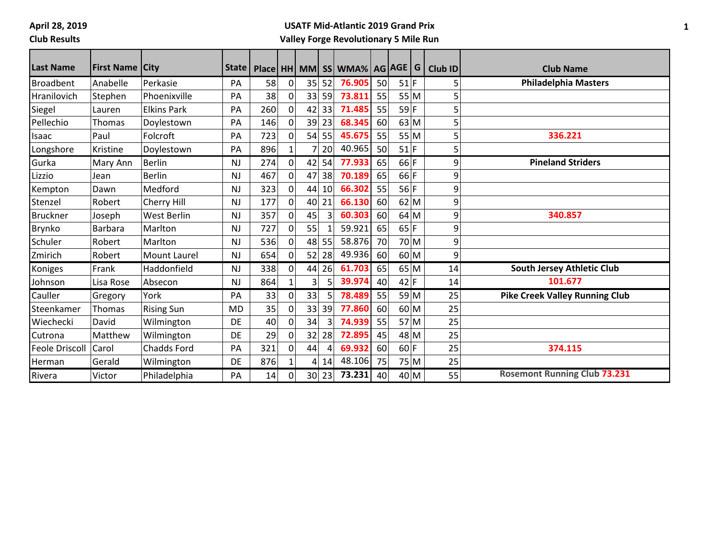**April 28, 2019**

#### **Club Results**

### **USATF Mid-Atlantic 2019 Grand Prix Valley Forge Revolutionary 5 Mile Run**

| <b>Last Name</b>      | <b>First Name City</b> |                    | State I   |     |                |                |       | Place   HH   MM   SS   WMA%   AG   AGE   G |    |        |        | <b>Club ID</b> | <b>Club Name</b>                      |
|-----------------------|------------------------|--------------------|-----------|-----|----------------|----------------|-------|--------------------------------------------|----|--------|--------|----------------|---------------------------------------|
| <b>Broadbent</b>      | Anabelle               | Perkasie           | PA        | 58  | $\mathbf{0}$   | 35             | 52    | 76.905                                     | 50 | $51$ F |        |                | <b>Philadelphia Masters</b>           |
| Hranilovich           | Stephen                | Phoenixville       | PA        | 38  | 0              | 33             | 59    | 73.811                                     | 55 |        | 55 M   |                |                                       |
| Siegel                | Lauren                 | <b>Elkins Park</b> | PA        | 260 | 0              | 42             | 33    | 71.485                                     | 55 | 59 F   |        |                |                                       |
| Pellechio             | Thomas                 | Doylestown         | PA        | 146 | $\mathbf 0$    | 39             | 23    | 68.345                                     | 60 |        | 63 M   | 5              |                                       |
| Isaac                 | Paul                   | Folcroft           | PA        | 723 | 0              | 54             | 55    | 45.675                                     | 55 |        | 55 M   | 5              | 336.221                               |
| Longshore             | Kristine               | Doylestown         | PA        | 896 | $\mathbf{1}$   |                | 20    | 40.965                                     | 50 | $51$ F |        | 5              |                                       |
| Gurka                 | Mary Ann               | <b>Berlin</b>      | <b>NJ</b> | 274 | $\mathbf 0$    | 42             | 54    | 77.933                                     | 65 | $66$ F |        | 9              | <b>Pineland Striders</b>              |
| Lizzio                | Jean                   | <b>Berlin</b>      | NJ        | 467 | 0              | 47             | 38    | 70.189                                     | 65 | $66$ F |        | 9              |                                       |
| Kempton               | Dawn                   | Medford            | <b>NJ</b> | 323 | $\Omega$       | 44             | 10    | 66.302                                     | 55 | 56 F   |        | 9              |                                       |
| Stenzel               | Robert                 | Cherry Hill        | <b>NJ</b> | 177 | 0              | 40             | 21    | 66.130                                     | 60 |        | 62 M   | 9              |                                       |
| <b>Bruckner</b>       | Joseph                 | West Berlin        | <b>NJ</b> | 357 | 0              | 45             | 3     | 60.303                                     | 60 | 64 M   |        | 9              | 340.857                               |
| Brynko                | <b>Barbara</b>         | Marlton            | <b>NJ</b> | 727 | $\overline{0}$ | 55             |       | 59.921                                     | 65 | 65 F   |        | 9              |                                       |
| Schuler               | Robert                 | Marlton            | <b>NJ</b> | 536 | $\overline{0}$ | 48             | 55    | 58.876                                     | 70 |        | 70 M   | 9              |                                       |
| Zmirich               | Robert                 | Mount Laurel       | <b>NJ</b> | 654 | $\overline{0}$ | 52             | 28    | 49.936                                     | 60 |        | 60 M   | 9              |                                       |
| Koniges               | Frank                  | Haddonfield        | <b>NJ</b> | 338 | $\mathbf 0$    | 44             | 26    | 61.703                                     | 65 |        | 65 M   | 14             | South Jersey Athletic Club            |
| Johnson               | Lisa Rose              | Absecon            | <b>NJ</b> | 864 | $\mathbf{1}$   | 3              | 5     | 39.974                                     | 40 | $42$ F |        | 14             | 101.677                               |
| Cauller               | Gregory                | York               | PA        | 33  | $\mathbf 0$    | 33             | 5     | 78.489                                     | 55 |        | 59 M   | 25             | <b>Pike Creek Valley Running Club</b> |
| Steenkamer            | Thomas                 | <b>Rising Sun</b>  | MD        | 35  | 0              | 33             | 39    | 77.860                                     | 60 | 60 M   |        | 25             |                                       |
| Wiechecki             | David                  | Wilmington         | DE        | 40  | $\Omega$       | 34             | 3     | 74.939                                     | 55 |        | $57$ M | 25             |                                       |
| Cutrona               | Matthew                | Wilmington         | DE        | 29  | $\overline{0}$ | 32             | 28    | 72.895                                     | 45 |        | 48 M   | 25             |                                       |
| <b>Feole Driscoll</b> | Carol                  | <b>Chadds Ford</b> | PA        | 321 | 0              | 44             | 4     | 69.932                                     | 60 | $60$ F |        | 25             | 374.115                               |
| Herman                | Gerald                 | Wilmington         | DE        | 876 | $\mathbf{1}$   | $\overline{4}$ | 14    | 48.106                                     | 75 |        | 75 M   | 25             |                                       |
| Rivera                | Victor                 | Philadelphia       | PA        | 14  | 0              |                | 30 23 | 73.231                                     | 40 |        | 40 M   | 55             | <b>Rosemont Running Club 73.231</b>   |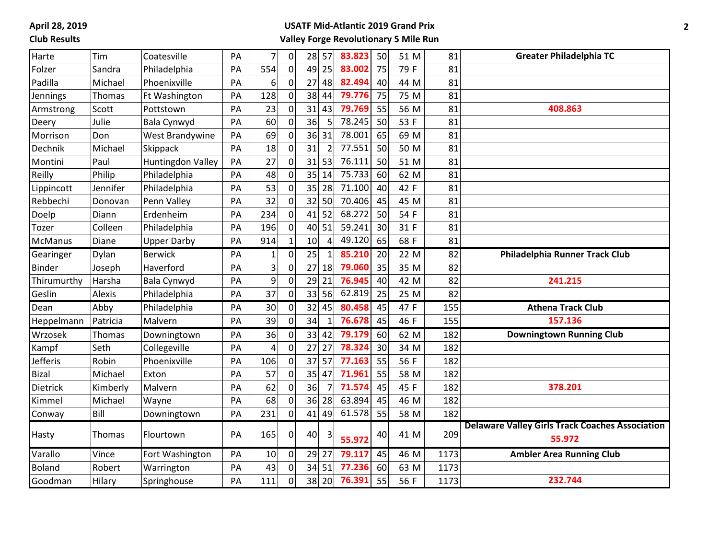**April 28, 2019 Club Results**

### **USATF Mid-Atlantic 2019 Grand Prix Valley Forge Revolutionary 5 Mile Run**

| Harte          | Tim           | Coatesville              | PA | $\overline{7}$ | $\mathbf 0$      | 28<br>57             | 83.823 | 50 |        | 51 M   | 81   | <b>Greater Philadelphia TC</b>                                   |
|----------------|---------------|--------------------------|----|----------------|------------------|----------------------|--------|----|--------|--------|------|------------------------------------------------------------------|
| Folzer         | Sandra        | Philadelphia             | PA | 554            | $\mathbf 0$      | 25<br>49             | 83.002 | 75 | $79$ F |        | 81   |                                                                  |
| Padilla        | Michael       | Phoenixville             | PA | 6              | 0                | 27<br>48             | 82.494 | 40 |        | 44 M   | 81   |                                                                  |
| Jennings       | Thomas        | Ft Washington            | PA | 128            | $\Omega$         | 38<br>44             | 79.776 | 75 |        | 75 M   | 81   |                                                                  |
| Armstrong      | Scott         | Pottstown                | PA | 23             | $\Omega$         | 31<br>43             | 79.769 | 55 |        | 56 M   | 81   | 408.863                                                          |
| Deery          | Julie         | Bala Cynwyd              | PA | 60             | $\mathbf 0$      | 5<br>36              | 78.245 | 50 | $53$ F |        | 81   |                                                                  |
| Morrison       | Don           | West Brandywine          | PA | 69             | 0                | 36 31                | 78.001 | 65 |        | $69$ M | 81   |                                                                  |
| Dechnik        | Michael       | Skippack                 | PA | 18             | 0                | 31<br>$\overline{2}$ | 77.551 | 50 |        | 50 M   | 81   |                                                                  |
| Montini        | Paul          | <b>Huntingdon Valley</b> | PA | 27             | $\mathbf 0$      | 53<br>31             | 76.111 | 50 |        | $51$ M | 81   |                                                                  |
| Reilly         | Philip        | Philadelphia             | PA | 48             | 0                | 35<br>14             | 75.733 | 60 |        | $62$ M | 81   |                                                                  |
| Lippincott     | Jennifer      | Philadelphia             | PA | 53             | 0                | 35<br>28             | 71.100 | 40 | $42$ F |        | 81   |                                                                  |
| Rebbechi       | Donovan       | Penn Valley              | PA | 32             | 0                | 32<br>50             | 70.406 | 45 |        | $45$ M | 81   |                                                                  |
| Doelp          | Diann         | Erdenheim                | PA | 234            | $\mathbf 0$      | 52<br>41             | 68.272 | 50 | $54$ F |        | 81   |                                                                  |
| Tozer          | Colleen       | Philadelphia             | PA | 196            | $\mathbf 0$      | 40 51                | 59.241 | 30 | $31$ F |        | 81   |                                                                  |
| <b>McManus</b> | Diane         | <b>Upper Darby</b>       | PA | 914            | $\mathbf{1}$     | 10<br>$\overline{4}$ | 49.120 | 65 | $68$ F |        | 81   |                                                                  |
| Gearinger      | Dylan         | <b>Berwick</b>           | PA | $\mathbf{1}$   | $\mathbf 0$      | 25<br>$\mathbf{1}$   | 85.210 | 20 |        | 22 M   | 82   | Philadelphia Runner Track Club                                   |
| <b>Binder</b>  | Joseph        | Haverford                | PA | 3              | 0                | 27<br>18             | 79.060 | 35 |        | 35 M   | 82   |                                                                  |
| Thirumurthy    | Harsha        | Bala Cynwyd              | PA | 9              | $\mathbf 0$      | 29<br>21             | 76.945 | 40 |        | 42 M   | 82   | 241.215                                                          |
| Geslin         | Alexis        | Philadelphia             | PA | 37             | $\mathbf 0$      | 33<br>56             | 62.819 | 25 |        | 25 M   | 82   |                                                                  |
| Dean           | Abby          | Philadelphia             | PA | 30             | $\mathbf 0$      | 32<br>45             | 80.458 | 45 | $47$ F |        | 155  | <b>Athena Track Club</b>                                         |
| Heppelmann     | Patricia      | Malvern                  | PA | 39             | $\Omega$         | 34<br>$\mathbf{1}$   | 76.678 | 45 | $46$ F |        | 155  | 157.136                                                          |
| Wrzosek        | <b>Thomas</b> | Downingtown              | PA | 36             | $\mathbf 0$      | $33$ 42              | 79.179 | 60 |        | 62 M   | 182  | <b>Downingtown Running Club</b>                                  |
| Kampf          | Seth          | Collegeville             | PA | 4              | $\mathbf 0$      | 27<br>27             | 78.324 | 30 |        | $34$ M | 182  |                                                                  |
| Jefferis       | Robin         | Phoenixville             | PA | 106            | $\mathbf 0$      | $37$ 57              | 77.163 | 55 | $56$ F |        | 182  |                                                                  |
| <b>Bizal</b>   | Michael       | Exton                    | PA | 57             | $\mathbf{0}$     | 35<br>47             | 71.961 | 55 |        | $58$ M | 182  |                                                                  |
| Dietrick       | Kimberly      | Malvern                  | PA | 62             | $\mathbf{0}$     | 36<br>$\overline{7}$ | 71.574 | 45 | $45$ F |        | 182  | 378.201                                                          |
| Kimmel         | Michael       | Wayne                    | PA | 68             | 0                | 36<br>28             | 63.894 | 45 |        | $46$ M | 182  |                                                                  |
| Conway         | Bill          | Downingtown              | PA | 231            | $\mathbf 0$      | 41<br>49             | 61.578 | 55 |        | 58 M   | 182  |                                                                  |
| Hasty          | Thomas        | Flourtown                | PA | 165            | 0                | 40<br>3              | 55.972 | 40 |        | $41$ M | 209  | <b>Delaware Valley Girls Track Coaches Association</b><br>55.972 |
| Varallo        | Vince         | Fort Washington          | PA | $10\,$         | $\boldsymbol{0}$ | $29$ 27              | 79.117 | 45 |        | $46$ M | 1173 | <b>Ambler Area Running Club</b>                                  |
| <b>Boland</b>  | Robert        | Warrington               | PA | 43             | $\mathbf 0$      | 34 51                | 77.236 | 60 |        | $63$ M | 1173 |                                                                  |
| Goodman        | Hilary        | Springhouse              | PA | 111            | 0                | 38 20                | 76.391 | 55 | $56$ F |        | 1173 | 232.744                                                          |